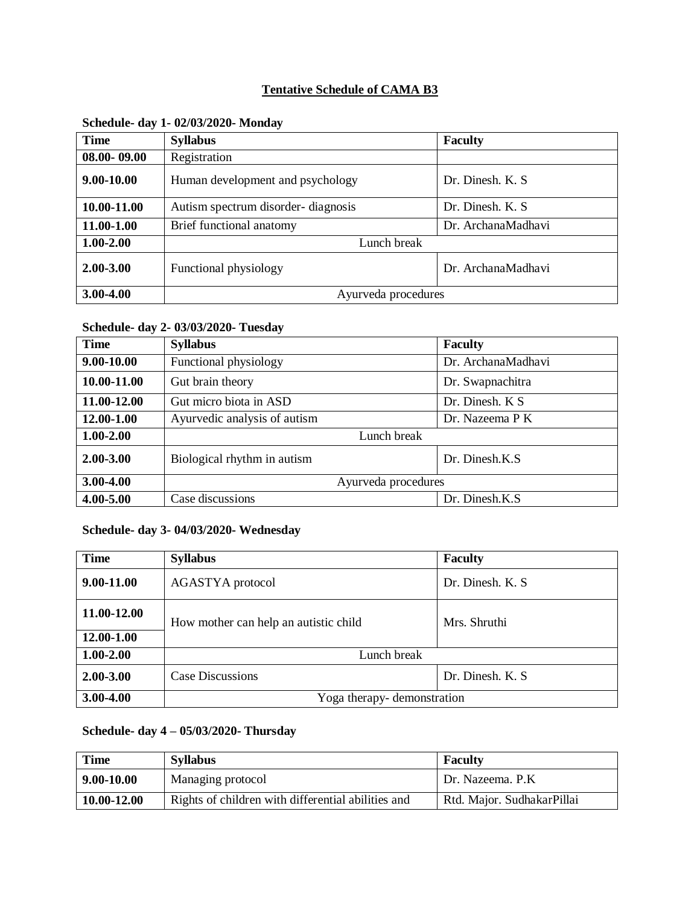## **Tentative Schedule of CAMA B3**

| <b>Time</b>     | <b>Syllabus</b>                    | <b>Faculty</b>     |
|-----------------|------------------------------------|--------------------|
| $08.00 - 09.00$ | Registration                       |                    |
| 9.00-10.00      | Human development and psychology   | Dr. Dinesh, K. S.  |
| 10.00-11.00     | Autism spectrum disorder-diagnosis | Dr. Dinesh. K. S.  |
| 11.00-1.00      | Brief functional anatomy           | Dr. ArchanaMadhavi |
| $1.00 - 2.00$   | Lunch break                        |                    |
| 2.00-3.00       | Functional physiology              | Dr. ArchanaMadhavi |
| 3.00-4.00       | Ayurveda procedures                |                    |

## **Schedule- day 1- 02/03/2020- Monday**

### **Schedule- day 2- 03/03/2020- Tuesday**

| <b>Time</b>   | <b>Syllabus</b>              | <b>Faculty</b>     |
|---------------|------------------------------|--------------------|
| 9.00-10.00    | Functional physiology        | Dr. ArchanaMadhavi |
| 10.00-11.00   | Gut brain theory             | Dr. Swapnachitra   |
| 11.00-12.00   | Gut micro biota in ASD       | Dr. Dinesh. K S    |
| 12.00-1.00    | Ayurvedic analysis of autism | Dr. Nazeema P K    |
| $1.00 - 2.00$ | Lunch break                  |                    |
| $2.00 - 3.00$ | Biological rhythm in autism  | Dr. Dinesh.K.S.    |
| $3.00 - 4.00$ | Ayurveda procedures          |                    |
| 4.00-5.00     | Case discussions             | Dr. Dinesh.K.S     |

## **Schedule- day 3- 04/03/2020- Wednesday**

| <b>Time</b>   | <b>Syllabus</b>                       | <b>Faculty</b>    |
|---------------|---------------------------------------|-------------------|
| 9.00-11.00    | AGASTYA protocol                      | Dr. Dinesh. K. S. |
| 11.00-12.00   | How mother can help an autistic child | Mrs. Shruthi      |
| 12.00-1.00    |                                       |                   |
| $1.00 - 2.00$ | Lunch break                           |                   |
| 2.00-3.00     | Case Discussions                      | Dr. Dinesh. K. S. |
| 3.00-4.00     | Yoga therapy-demonstration            |                   |

## **Schedule- day 4 – 05/03/2020- Thursday**

| <b>Time</b> | <b>Syllabus</b>                                    | <b>Faculty</b>             |
|-------------|----------------------------------------------------|----------------------------|
| 9.00-10.00  | Managing protocol                                  | Dr. Nazeema, P.K.          |
| 10.00-12.00 | Rights of children with differential abilities and | Rtd. Major. SudhakarPillai |